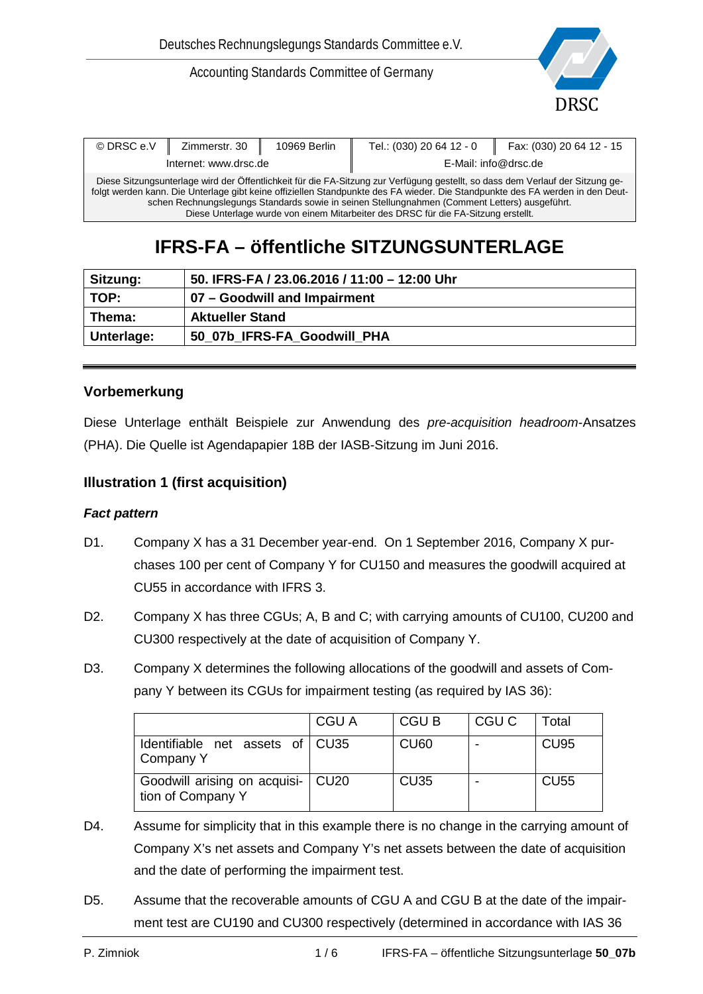Accounting Standards Committee of Germany



| © DRSC e.V                                                                                                                                                                                                                                                                                                                                                                                                                                            | Zimmerstr. 30         | 10969 Berlin | Tel.: (030) 20 64 12 - 0 | Fax: (030) 20 64 12 - 15 |
|-------------------------------------------------------------------------------------------------------------------------------------------------------------------------------------------------------------------------------------------------------------------------------------------------------------------------------------------------------------------------------------------------------------------------------------------------------|-----------------------|--------------|--------------------------|--------------------------|
|                                                                                                                                                                                                                                                                                                                                                                                                                                                       | Internet: www.drsc.de |              | E-Mail: info@drsc.de     |                          |
| Diese Sitzungsunterlage wird der Öffentlichkeit für die FA-Sitzung zur Verfügung gestellt, so dass dem Verlauf der Sitzung ge-<br>folgt werden kann. Die Unterlage gibt keine offiziellen Standpunkte des FA wieder. Die Standpunkte des FA werden in den Deut-<br>schen Rechnungslegungs Standards sowie in seinen Stellungnahmen (Comment Letters) ausgeführt.<br>Diese Unterlage wurde von einem Mitarbeiter des DRSC für die FA-Sitzung erstellt. |                       |              |                          |                          |

# **IFRS-FA – öffentliche SITZUNGSUNTERLAGE**

| Sitzung:   | 50. IFRS-FA / 23.06.2016 / 11:00 - 12:00 Uhr |
|------------|----------------------------------------------|
| TOP:       | 07 - Goodwill and Impairment                 |
| Thema:     | <b>Aktueller Stand</b>                       |
| Unterlage: | 50 07b IFRS-FA Goodwill PHA                  |

# **Vorbemerkung**

Diese Unterlage enthält Beispiele zur Anwendung des *pre-acquisition headroom*-Ansatzes (PHA). Die Quelle ist Agendapapier 18B der IASB-Sitzung im Juni 2016.

# **Illustration 1 (first acquisition)**

#### *Fact pattern*

- D1. Company X has a 31 December year-end. On 1 September 2016, Company X purchases 100 per cent of Company Y for CU150 and measures the goodwill acquired at CU55 in accordance with IFRS 3.
- D2. Company X has three CGUs; A, B and C; with carrying amounts of CU100, CU200 and CU300 respectively at the date of acquisition of Company Y.
- D3. Company X determines the following allocations of the goodwill and assets of Company Y between its CGUs for impairment testing (as required by IAS 36):

|                                                          | CGU A | <b>CGUB</b> | CGU C | Total       |
|----------------------------------------------------------|-------|-------------|-------|-------------|
| Identifiable net assets of CU35<br>Company Y             |       | <b>CU60</b> |       | <b>CU95</b> |
| Goodwill arising on acquisi-   CU20<br>tion of Company Y |       | <b>CU35</b> |       | <b>CU55</b> |

- D4. Assume for simplicity that in this example there is no change in the carrying amount of Company X's net assets and Company Y's net assets between the date of acquisition and the date of performing the impairment test.
- D5. Assume that the recoverable amounts of CGU A and CGU B at the date of the impairment test are CU190 and CU300 respectively (determined in accordance with IAS 36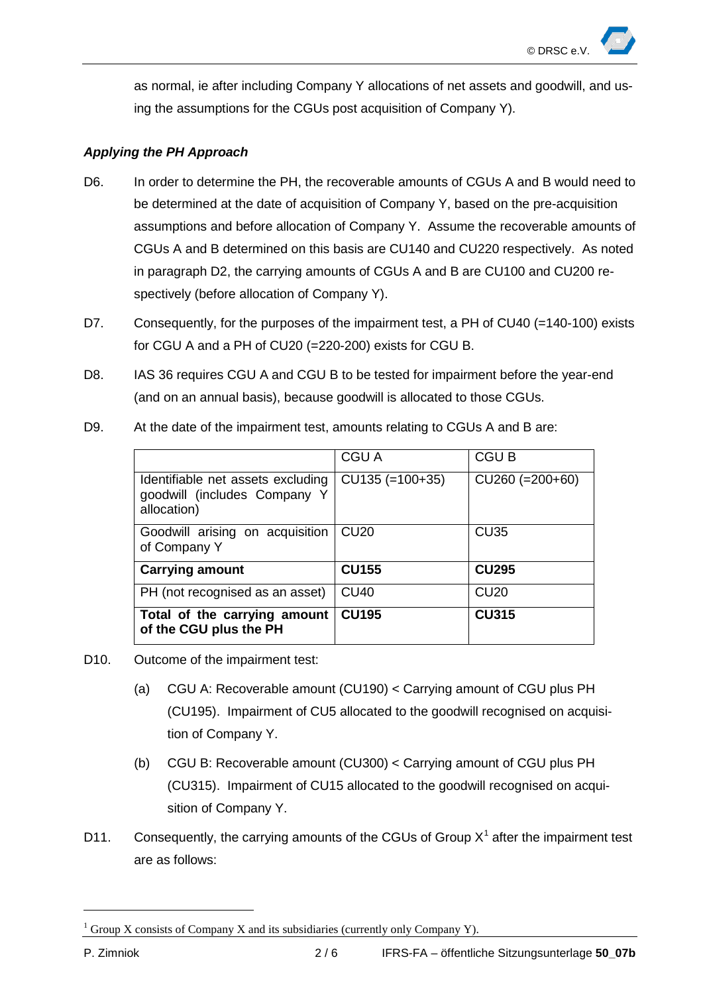as normal, ie after including Company Y allocations of net assets and goodwill, and using the assumptions for the CGUs post acquisition of Company Y).

# *Applying the PH Approach*

- D6. In order to determine the PH, the recoverable amounts of CGUs A and B would need to be determined at the date of acquisition of Company Y, based on the pre-acquisition assumptions and before allocation of Company Y. Assume the recoverable amounts of CGUs A and B determined on this basis are CU140 and CU220 respectively. As noted in paragraph D2, the carrying amounts of CGUs A and B are CU100 and CU200 respectively (before allocation of Company Y).
- D7. Consequently, for the purposes of the impairment test, a PH of CU40 (=140-100) exists for CGU A and a PH of CU20 (=220-200) exists for CGU B.
- D8. IAS 36 requires CGU A and CGU B to be tested for impairment before the year-end (and on an annual basis), because goodwill is allocated to those CGUs.

|                                                                                  | CGU A             | <b>CGUB</b>       |
|----------------------------------------------------------------------------------|-------------------|-------------------|
| Identifiable net assets excluding<br>goodwill (includes Company Y<br>allocation) | $CU135 (=100+35)$ | $CU260 (=200+60)$ |
| Goodwill arising on acquisition<br>of Company Y                                  | CU <sub>20</sub>  | <b>CU35</b>       |
| <b>Carrying amount</b>                                                           | <b>CU155</b>      | <b>CU295</b>      |
| PH (not recognised as an asset)                                                  | <b>CU40</b>       | <b>CU20</b>       |
| Total of the carrying amount<br>of the CGU plus the PH                           | <b>CU195</b>      | <b>CU315</b>      |

D9. At the date of the impairment test, amounts relating to CGUs A and B are:

- D10. Outcome of the impairment test:
	- (a) CGU A: Recoverable amount (CU190) < Carrying amount of CGU plus PH (CU195). Impairment of CU5 allocated to the goodwill recognised on acquisition of Company Y.
	- (b) CGU B: Recoverable amount (CU300) < Carrying amount of CGU plus PH (CU315). Impairment of CU15 allocated to the goodwill recognised on acquisition of Company Y.
- D[1](#page-1-0)1. Consequently, the carrying amounts of the CGUs of Group  $X^1$  after the impairment test are as follows:

-

<span id="page-1-0"></span><sup>&</sup>lt;sup>1</sup> Group X consists of Company X and its subsidiaries (currently only Company Y).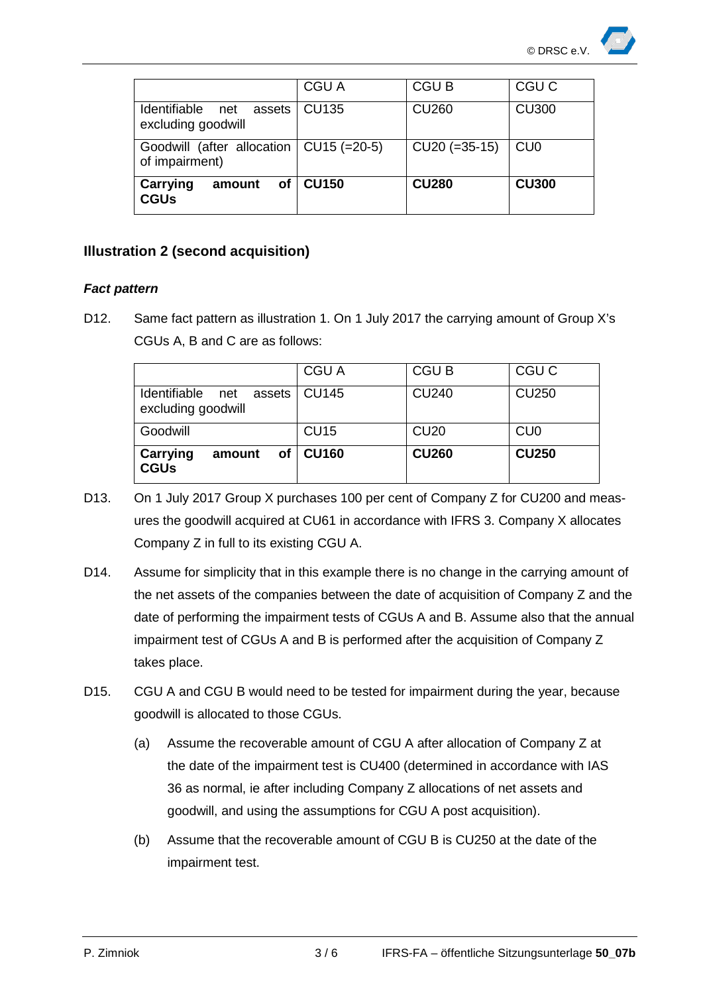|                                                             | CGU A        | <b>CGUB</b>     | CGU C            |
|-------------------------------------------------------------|--------------|-----------------|------------------|
| <b>Identifiable</b><br>assets<br>net<br>excluding goodwill  | <b>CU135</b> | <b>CU260</b>    | <b>CU300</b>     |
| Goodwill (after allocation   CU15 (=20-5)<br>of impairment) |              | $CU20 (=35-15)$ | C <sub>U</sub> O |
| <b>Carrying</b><br>οf<br>amount<br><b>CGUs</b>              | <b>CU150</b> | <b>CU280</b>    | <b>CU300</b>     |

# **Illustration 2 (second acquisition)**

# *Fact pattern*

D12. Same fact pattern as illustration 1. On 1 July 2017 the carrying amount of Group X's CGUs A, B and C are as follows:

| Identifiable net<br>assets<br>excluding goodwill    | CGU A<br>CU145              | CGU B<br><b>CU240</b>       | CGU C<br><b>CU250</b>                       |
|-----------------------------------------------------|-----------------------------|-----------------------------|---------------------------------------------|
| Goodwill<br>Carrying<br>of<br>amount<br><b>CGUs</b> | <b>CU15</b><br><b>CU160</b> | <b>CU20</b><br><b>CU260</b> | C <sub>U</sub> <sub>0</sub><br><b>CU250</b> |

- D13. On 1 July 2017 Group X purchases 100 per cent of Company Z for CU200 and measures the goodwill acquired at CU61 in accordance with IFRS 3. Company X allocates Company Z in full to its existing CGU A.
- D14. Assume for simplicity that in this example there is no change in the carrying amount of the net assets of the companies between the date of acquisition of Company Z and the date of performing the impairment tests of CGUs A and B. Assume also that the annual impairment test of CGUs A and B is performed after the acquisition of Company Z takes place.
- D15. CGU A and CGU B would need to be tested for impairment during the year, because goodwill is allocated to those CGUs.
	- (a) Assume the recoverable amount of CGU A after allocation of Company Z at the date of the impairment test is CU400 (determined in accordance with IAS 36 as normal, ie after including Company Z allocations of net assets and goodwill, and using the assumptions for CGU A post acquisition).
	- (b) Assume that the recoverable amount of CGU B is CU250 at the date of the impairment test.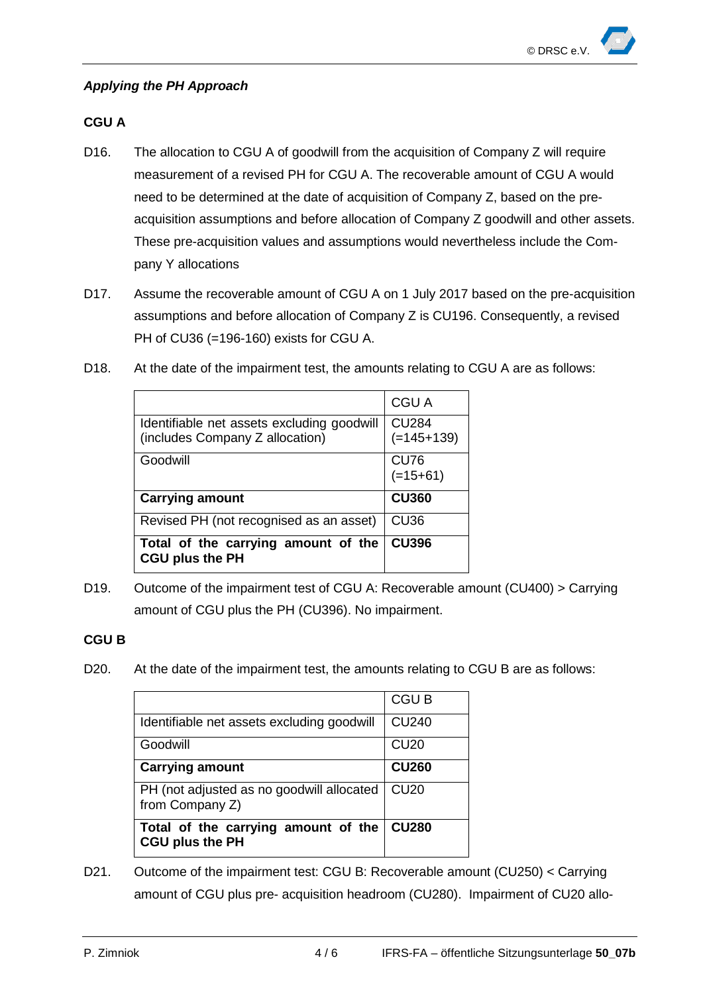#### *Applying the PH Approach*

# **CGU A**

- D16. The allocation to CGU A of goodwill from the acquisition of Company Z will require measurement of a revised PH for CGU A. The recoverable amount of CGU A would need to be determined at the date of acquisition of Company Z, based on the preacquisition assumptions and before allocation of Company Z goodwill and other assets. These pre-acquisition values and assumptions would nevertheless include the Company Y allocations
- D17. Assume the recoverable amount of CGU A on 1 July 2017 based on the pre-acquisition assumptions and before allocation of Company Z is CU196. Consequently, a revised PH of CU36 (=196-160) exists for CGU A.

| D18.<br>At the date of the impairment test, the amounts relating to CGU A are as follows: |  |
|-------------------------------------------------------------------------------------------|--|
|-------------------------------------------------------------------------------------------|--|

|                                                                               | <b>CGU A</b>                 |
|-------------------------------------------------------------------------------|------------------------------|
| Identifiable net assets excluding goodwill<br>(includes Company Z allocation) | <b>CU284</b><br>$(=145+139)$ |
| Goodwill                                                                      | <b>CU76</b><br>$(=15+61)$    |
|                                                                               |                              |
| <b>Carrying amount</b>                                                        | <b>CU360</b>                 |
| Revised PH (not recognised as an asset)                                       | <b>CU36</b>                  |

D19. Outcome of the impairment test of CGU A: Recoverable amount (CU400) > Carrying amount of CGU plus the PH (CU396). No impairment.

#### **CGU B**

D20. At the date of the impairment test, the amounts relating to CGU B are as follows:

|                                                               | <b>CGUB</b>      |
|---------------------------------------------------------------|------------------|
| Identifiable net assets excluding goodwill                    | <b>CU240</b>     |
| Goodwill                                                      | <b>CU20</b>      |
| <b>Carrying amount</b>                                        | <b>CU260</b>     |
| PH (not adjusted as no goodwill allocated<br>from Company Z)  | CU <sub>20</sub> |
| Total of the carrying amount of the<br><b>CGU plus the PH</b> | <b>CU280</b>     |

D21. Outcome of the impairment test: CGU B: Recoverable amount (CU250) < Carrying amount of CGU plus pre- acquisition headroom (CU280). Impairment of CU20 allo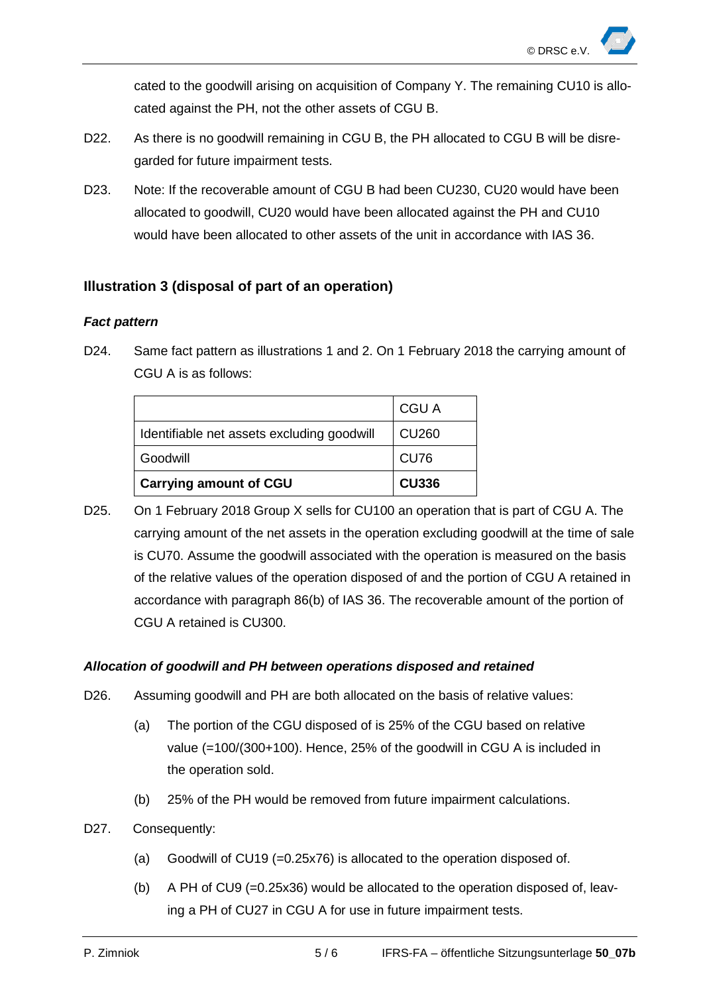cated to the goodwill arising on acquisition of Company Y. The remaining CU10 is allocated against the PH, not the other assets of CGU B.

- D22. As there is no goodwill remaining in CGU B, the PH allocated to CGU B will be disregarded for future impairment tests.
- D23. Note: If the recoverable amount of CGU B had been CU230, CU20 would have been allocated to goodwill, CU20 would have been allocated against the PH and CU10 would have been allocated to other assets of the unit in accordance with IAS 36.

# **Illustration 3 (disposal of part of an operation)**

#### *Fact pattern*

D24. Same fact pattern as illustrations 1 and 2. On 1 February 2018 the carrying amount of CGU A is as follows:

|                                            | <b>CGU A</b> |
|--------------------------------------------|--------------|
| Identifiable net assets excluding goodwill | <b>CU260</b> |
| Goodwill                                   | <b>CU76</b>  |
| <b>Carrying amount of CGU</b>              | <b>CU336</b> |

D25. On 1 February 2018 Group X sells for CU100 an operation that is part of CGU A. The carrying amount of the net assets in the operation excluding goodwill at the time of sale is CU70. Assume the goodwill associated with the operation is measured on the basis of the relative values of the operation disposed of and the portion of CGU A retained in accordance with paragraph 86(b) of IAS 36. The recoverable amount of the portion of CGU A retained is CU300.

#### *Allocation of goodwill and PH between operations disposed and retained*

- D26. Assuming goodwill and PH are both allocated on the basis of relative values:
	- (a) The portion of the CGU disposed of is 25% of the CGU based on relative value (=100/(300+100). Hence, 25% of the goodwill in CGU A is included in the operation sold.
	- (b) 25% of the PH would be removed from future impairment calculations.
- D27. Consequently:
	- (a) Goodwill of CU19 (=0.25x76) is allocated to the operation disposed of.
	- (b) A PH of CU9 (=0.25x36) would be allocated to the operation disposed of, leaving a PH of CU27 in CGU A for use in future impairment tests.